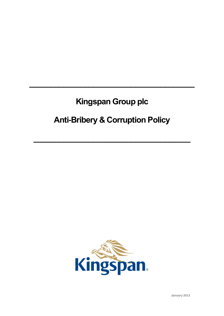# **Kingspan Group plc**

 $\mathcal{L}=\{1,2,3,4,5\}$ 

# **Anti-Bribery & Corruption Policy**

 $\mathcal{L}=\{1,2,3,4\}$ 

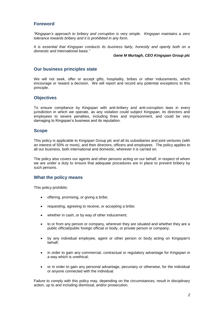# **Foreword**

*"Kingspan's approach to bribery and corruption is very simple. Kingspan maintains a zero tolerance towards bribery and it is prohibited in any form.* 

*It is essential that Kingspan conducts its business fairly, honestly and openly both on a domestic and international basis."*

#### *Gene M Murtagh, CEO Kingspan Group plc*

## **Our business principles state**

We will not seek, offer or accept gifts, hospitality, bribes or other inducements, which encourage or reward a decision. We will report and record any potential exceptions to this principle.

## **Objectives**

To ensure compliance by Kingspan with anti-bribery and anti-corruption laws in every jurisdiction in which we operate, as any violation could subject Kingspan, its directors and employees to severe penalties, including fines and imprisonment, and could be very damaging to Kingspan's business and its reputation.

### **Scope**

This policy is applicable to Kingspan Group plc and all its subsidiaries and joint ventures (with an interest of 50% or more), and their directors, officers and employees. The policy applies to all our business, both international and domestic, wherever it is carried on.

The policy also covers our agents and other persons acting on our behalf, in respect of whom we are under a duty to ensure that adequate procedures are in place to prevent bribery by such persons.

#### **What the policy means**

This policy prohibits:

- offering, promising, or giving a bribe;
- requesting, agreeing to receive, or accepting a bribe;
- whether in cash, or by way of other inducement;
- to or from any person or company, wherever they are situated and whether they are a public official/public foreign official or body, or private person or company;
- by any individual employee, agent or other person or body acting on Kingspan's behalf;
- in order to gain any commercial, contractual or regulatory advantage for Kingspan in a way which is unethical;
- or in order to gain any personal advantage, pecuniary or otherwise, for the individual or anyone connected with the individual.

Failure to comply with this policy may, depending on the circumstances, result in disciplinary action, up to and including dismissal, and/or prosecution.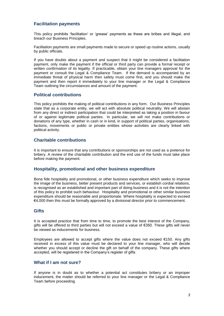# **Facilitation payments**

This policy prohibits 'facilitation' or 'grease' payments as these are bribes and illegal, and breach our Business Principles.

Facilitation payments are small payments made to secure or speed up routine actions, usually by public officials.

If you have doubts about a payment and suspect that it might be considered a facilitation payment, only make the payment if the official or third party can provide a formal receipt or written confirmation of its legality. If practicable, obtain your line managers approval for the payment or consult the Legal & Compliance Team. If the demand is accompanied by an immediate threat of physical harm then safety must come first, and you should make the payment and then report it immediately to your line manager or the Legal & Compliance Team outlining the circumstances and amount of the payment.

## **Political contributions**

This policy prohibits the making of political contributions in any form. Our Business Principles state that as a corporate entity, we will act with absolute political neutrality. We will abstain from any direct or indirect participation that could be interpreted as taking a position in favour of or against legitimate political parties. In particular, we will not make contributions or donations of any type, whether in cash or in kind, in support of political parties, organisations, factions, movements or public or private entities whose activities are clearly linked with political activity.

## **Charitable contributions**

It is important to ensure that any contributions or sponsorships are not used as a pretence for bribery. A review of the charitable contribution and the end use of the funds must take place before making the payment.

## **Hospitality, promotional and other business expenditure**

Bona fide hospitality and promotional, or other business expenditure which seeks to improve the image of the business, better present products and services, or establish cordial relations, is recognised as an established and important part of doing business and it is not the intention of this policy to prohibit such behaviour. Hospitality and promotional or other similar business expenditure should be reasonable and proportionate. Where hospitality is expected to exceed €4,000 then this must be formally approved by a divisional director prior to commencement.

#### **Gifts**

It is accepted practice that from time to time, to promote the best interest of the Company, gifts will be offered to third parties but will not exceed a value of €350. These gifts will never be viewed as inducements for business.

Employees are allowed to accept gifts where the value does not exceed  $€150$ . Any gifts received in excess of this value must be declared to your line manager, who will decide whether you should accept or decline the gift on behalf of the company. These gifts where accepted, will be registered in the Company's register of gifts.

## **What if I am not sure?**

If anyone is in doubt as to whether a potential act constitutes bribery or an improper inducement, the matter should be referred to your line manager or the Legal & Compliance Team before proceeding.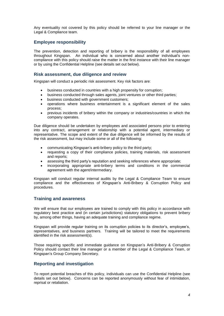Any eventuality not covered by this policy should be referred to your line manager or the Legal & Compliance team.

## **Employee responsibility**

The prevention, detection and reporting of bribery is the responsibility of all employees throughout Kingspan. An individual who is concerned about another individual's noncompliance with this policy should raise the matter in the first instance with their line manager or by using the Confidential Helpline (see details set out below).

#### **Risk assessment, due diligence and review**

Kingspan will conduct a periodic risk assessment. Key risk factors are:

- business conducted in countries with a high propensity for corruption;
- business conducted through sales agents, joint ventures or other third parties;
- business conducted with government customers;
- operations where business entertainment is a significant element of the sales process;
- previous incidents of bribery within the company or industries/countries in which the company operates.

Due diligence should be undertaken by employees and associated persons prior to entering into any contract, arrangement or relationship with a potential agent, intermediary or representative. The scope and extent of the due diligence will be informed by the results of the risk assessment, but may include some or all of the following:

- communicating Kingspan's anti-bribery policy to the third party;
- requesting a copy of their compliance policies, training materials, risk assessment and reports;
- assessing the third party's reputation and seeking references where appropriate;
- incorporating appropriate anti-bribery terms and conditions in the commercial agreement with the agent/intermediary.

Kingspan will conduct regular internal audits by the Legal & Compliance Team to ensure compliance and the effectiveness of Kingspan's Anti-Bribery & Corruption Policy and procedures.

#### **Training and awareness**

We will ensure that our employees are trained to comply with this policy in accordance with regulatory best practice and (in certain jurisdictions) statutory obligations to prevent bribery by, among other things, having an adequate training and compliance regime.

Kingspan will provide regular training on its corruption policies to its director's, employee's, representatives, and business partners. Training will be tailored to meet the requirements identified in the risk assessment(s).

Those requiring specific and immediate guidance on Kingspan's Anti-Bribery & Corruption Policy should contact their line manager or a member of the Legal & Compliance Team, or Kingspan's Group Company Secretary.

#### **Reporting and investigation**

To report potential breaches of this policy, individuals can use the Confidential Helpline (see details set out below). Concerns can be reported anonymously without fear of intimidation, reprisal or retaliation.